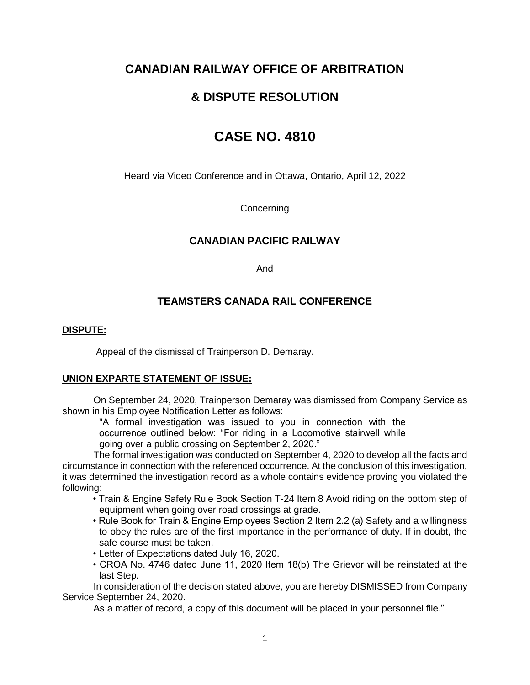# **CANADIAN RAILWAY OFFICE OF ARBITRATION**

# **& DISPUTE RESOLUTION**

# **CASE NO. 4810**

Heard via Video Conference and in Ottawa, Ontario, April 12, 2022

**Concerning** 

# **CANADIAN PACIFIC RAILWAY**

And

# **TEAMSTERS CANADA RAIL CONFERENCE**

### **DISPUTE:**

Appeal of the dismissal of Trainperson D. Demaray.

### **UNION EXPARTE STATEMENT OF ISSUE:**

On September 24, 2020, Trainperson Demaray was dismissed from Company Service as shown in his Employee Notification Letter as follows:

"A formal investigation was issued to you in connection with the occurrence outlined below: "For riding in a Locomotive stairwell while going over a public crossing on September 2, 2020."

The formal investigation was conducted on September 4, 2020 to develop all the facts and circumstance in connection with the referenced occurrence. At the conclusion of this investigation, it was determined the investigation record as a whole contains evidence proving you violated the following:

- Train & Engine Safety Rule Book Section T-24 Item 8 Avoid riding on the bottom step of equipment when going over road crossings at grade.
- Rule Book for Train & Engine Employees Section 2 Item 2.2 (a) Safety and a willingness to obey the rules are of the first importance in the performance of duty. If in doubt, the safe course must be taken.
- Letter of Expectations dated July 16, 2020.
- CROA No. 4746 dated June 11, 2020 Item 18(b) The Grievor will be reinstated at the last Step.

In consideration of the decision stated above, you are hereby DISMISSED from Company Service September 24, 2020.

As a matter of record, a copy of this document will be placed in your personnel file."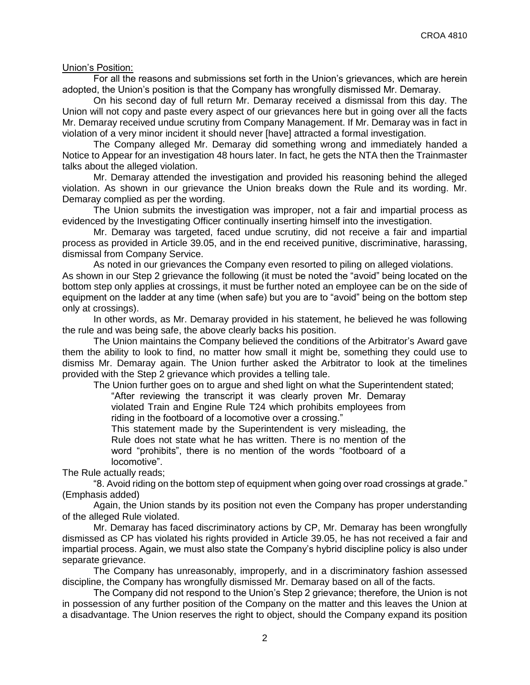Union's Position:

For all the reasons and submissions set forth in the Union's grievances, which are herein adopted, the Union's position is that the Company has wrongfully dismissed Mr. Demaray.

On his second day of full return Mr. Demaray received a dismissal from this day. The Union will not copy and paste every aspect of our grievances here but in going over all the facts Mr. Demaray received undue scrutiny from Company Management. If Mr. Demaray was in fact in violation of a very minor incident it should never [have] attracted a formal investigation.

The Company alleged Mr. Demaray did something wrong and immediately handed a Notice to Appear for an investigation 48 hours later. In fact, he gets the NTA then the Trainmaster talks about the alleged violation.

Mr. Demaray attended the investigation and provided his reasoning behind the alleged violation. As shown in our grievance the Union breaks down the Rule and its wording. Mr. Demaray complied as per the wording.

The Union submits the investigation was improper, not a fair and impartial process as evidenced by the Investigating Officer continually inserting himself into the investigation.

Mr. Demaray was targeted, faced undue scrutiny, did not receive a fair and impartial process as provided in Article 39.05, and in the end received punitive, discriminative, harassing, dismissal from Company Service.

As noted in our grievances the Company even resorted to piling on alleged violations. As shown in our Step 2 grievance the following (it must be noted the "avoid" being located on the bottom step only applies at crossings, it must be further noted an employee can be on the side of equipment on the ladder at any time (when safe) but you are to "avoid" being on the bottom step only at crossings).

In other words, as Mr. Demaray provided in his statement, he believed he was following the rule and was being safe, the above clearly backs his position.

The Union maintains the Company believed the conditions of the Arbitrator's Award gave them the ability to look to find, no matter how small it might be, something they could use to dismiss Mr. Demaray again. The Union further asked the Arbitrator to look at the timelines provided with the Step 2 grievance which provides a telling tale.

The Union further goes on to argue and shed light on what the Superintendent stated;

"After reviewing the transcript it was clearly proven Mr. Demaray violated Train and Engine Rule T24 which prohibits employees from riding in the footboard of a locomotive over a crossing."

This statement made by the Superintendent is very misleading, the Rule does not state what he has written. There is no mention of the word "prohibits", there is no mention of the words "footboard of a locomotive".

The Rule actually reads;

"8. Avoid riding on the bottom step of equipment when going over road crossings at grade." (Emphasis added)

Again, the Union stands by its position not even the Company has proper understanding of the alleged Rule violated.

Mr. Demaray has faced discriminatory actions by CP, Mr. Demaray has been wrongfully dismissed as CP has violated his rights provided in Article 39.05, he has not received a fair and impartial process. Again, we must also state the Company's hybrid discipline policy is also under separate grievance.

The Company has unreasonably, improperly, and in a discriminatory fashion assessed discipline, the Company has wrongfully dismissed Mr. Demaray based on all of the facts.

The Company did not respond to the Union's Step 2 grievance; therefore, the Union is not in possession of any further position of the Company on the matter and this leaves the Union at a disadvantage. The Union reserves the right to object, should the Company expand its position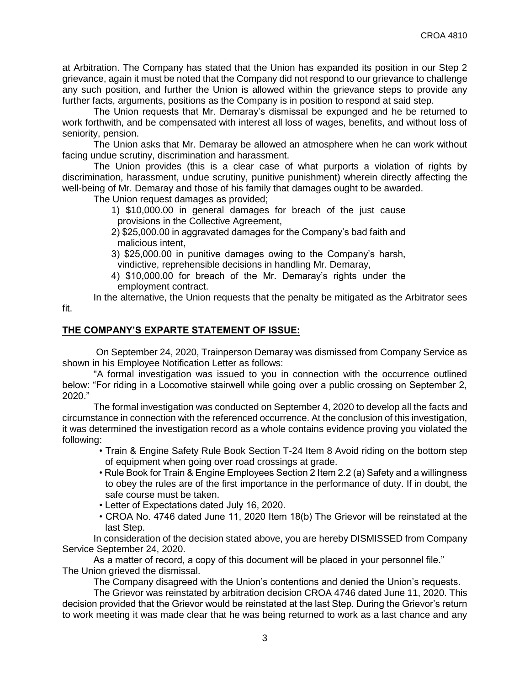at Arbitration. The Company has stated that the Union has expanded its position in our Step 2 grievance, again it must be noted that the Company did not respond to our grievance to challenge any such position, and further the Union is allowed within the grievance steps to provide any further facts, arguments, positions as the Company is in position to respond at said step.

The Union requests that Mr. Demaray's dismissal be expunged and he be returned to work forthwith, and be compensated with interest all loss of wages, benefits, and without loss of seniority, pension.

The Union asks that Mr. Demaray be allowed an atmosphere when he can work without facing undue scrutiny, discrimination and harassment.

The Union provides (this is a clear case of what purports a violation of rights by discrimination, harassment, undue scrutiny, punitive punishment) wherein directly affecting the well-being of Mr. Demaray and those of his family that damages ought to be awarded.

The Union request damages as provided;

- 1) \$10,000.00 in general damages for breach of the just cause provisions in the Collective Agreement,
- 2) \$25,000.00 in aggravated damages for the Company's bad faith and malicious intent,

3) \$25,000.00 in punitive damages owing to the Company's harsh, vindictive, reprehensible decisions in handling Mr. Demaray,

4) \$10,000.00 for breach of the Mr. Demaray's rights under the employment contract.

In the alternative, the Union requests that the penalty be mitigated as the Arbitrator sees

## **THE COMPANY'S EXPARTE STATEMENT OF ISSUE:**

fit.

On September 24, 2020, Trainperson Demaray was dismissed from Company Service as shown in his Employee Notification Letter as follows:

"A formal investigation was issued to you in connection with the occurrence outlined below: "For riding in a Locomotive stairwell while going over a public crossing on September 2, 2020."

The formal investigation was conducted on September 4, 2020 to develop all the facts and circumstance in connection with the referenced occurrence. At the conclusion of this investigation, it was determined the investigation record as a whole contains evidence proving you violated the following:

- Train & Engine Safety Rule Book Section T-24 Item 8 Avoid riding on the bottom step of equipment when going over road crossings at grade.
- Rule Book for Train & Engine Employees Section 2 Item 2.2 (a) Safety and a willingness to obey the rules are of the first importance in the performance of duty. If in doubt, the safe course must be taken.
- Letter of Expectations dated July 16, 2020.
- CROA No. 4746 dated June 11, 2020 Item 18(b) The Grievor will be reinstated at the last Step.

In consideration of the decision stated above, you are hereby DISMISSED from Company Service September 24, 2020.

As a matter of record, a copy of this document will be placed in your personnel file." The Union grieved the dismissal.

The Company disagreed with the Union's contentions and denied the Union's requests.

The Grievor was reinstated by arbitration decision CROA 4746 dated June 11, 2020. This decision provided that the Grievor would be reinstated at the last Step. During the Grievor's return to work meeting it was made clear that he was being returned to work as a last chance and any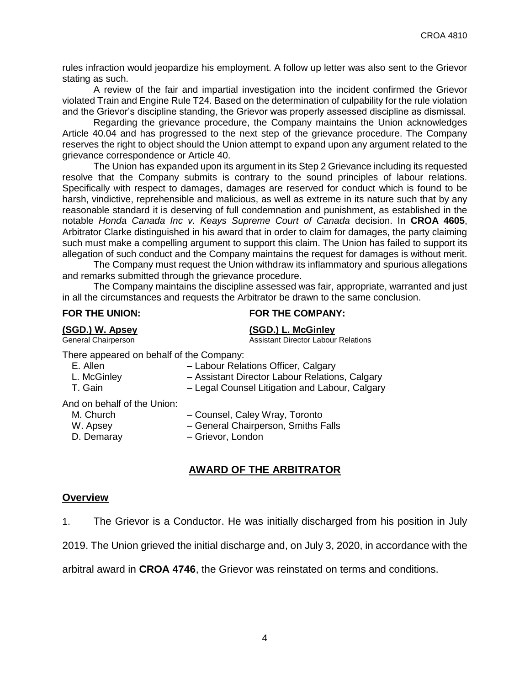rules infraction would jeopardize his employment. A follow up letter was also sent to the Grievor stating as such.

A review of the fair and impartial investigation into the incident confirmed the Grievor violated Train and Engine Rule T24. Based on the determination of culpability for the rule violation and the Grievor's discipline standing, the Grievor was properly assessed discipline as dismissal.

Regarding the grievance procedure, the Company maintains the Union acknowledges Article 40.04 and has progressed to the next step of the grievance procedure. The Company reserves the right to object should the Union attempt to expand upon any argument related to the grievance correspondence or Article 40.

The Union has expanded upon its argument in its Step 2 Grievance including its requested resolve that the Company submits is contrary to the sound principles of labour relations. Specifically with respect to damages, damages are reserved for conduct which is found to be harsh, vindictive, reprehensible and malicious, as well as extreme in its nature such that by any reasonable standard it is deserving of full condemnation and punishment, as established in the notable *Honda Canada Inc v. Keays Supreme Court of Canada* decision. In **CROA 4605**, Arbitrator Clarke distinguished in his award that in order to claim for damages, the party claiming such must make a compelling argument to support this claim. The Union has failed to support its allegation of such conduct and the Company maintains the request for damages is without merit.

The Company must request the Union withdraw its inflammatory and spurious allegations and remarks submitted through the grievance procedure.

The Company maintains the discipline assessed was fair, appropriate, warranted and just in all the circumstances and requests the Arbitrator be drawn to the same conclusion.

### **FOR THE UNION: FOR THE COMPANY:**

**(SGD.) W. Apsey (SGD.) L. McGinley** Assistant Director Labour Relations

There appeared on behalf of the Company:

| E. Allen | - Labour Relations Officer, Calgary |
|----------|-------------------------------------|
|----------|-------------------------------------|

- L. McGinley Assistant Director Labour Relations, Calgary
- T. Gain Legal Counsel Litigation and Labour, Calgary

And on behalf of the Union:

- 
- M. Church Counsel, Caley Wray, Toronto
- W. Apsey **East Access** General Chairperson, Smiths Falls
- 
- D. Demaray Grievor, London

# **AWARD OF THE ARBITRATOR**

#### **Overview**

1. The Grievor is a Conductor. He was initially discharged from his position in July

2019. The Union grieved the initial discharge and, on July 3, 2020, in accordance with the

arbitral award in **CROA 4746**, the Grievor was reinstated on terms and conditions.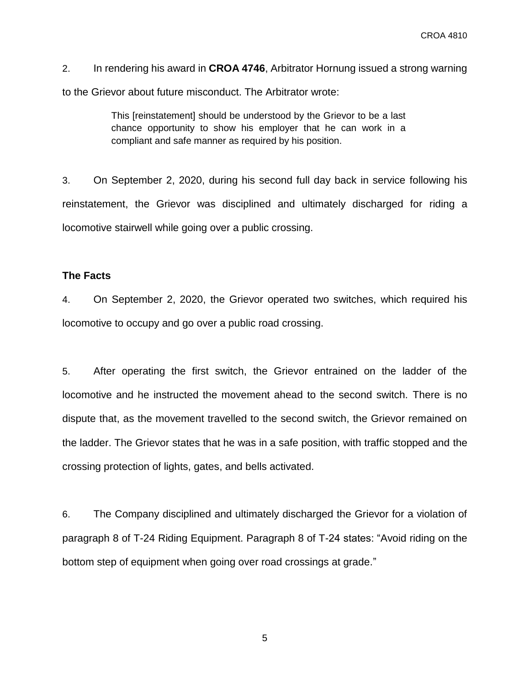2. In rendering his award in **CROA 4746**, Arbitrator Hornung issued a strong warning to the Grievor about future misconduct. The Arbitrator wrote:

> This [reinstatement] should be understood by the Grievor to be a last chance opportunity to show his employer that he can work in a compliant and safe manner as required by his position.

3. On September 2, 2020, during his second full day back in service following his reinstatement, the Grievor was disciplined and ultimately discharged for riding a locomotive stairwell while going over a public crossing.

## **The Facts**

4. On September 2, 2020, the Grievor operated two switches, which required his locomotive to occupy and go over a public road crossing.

5. After operating the first switch, the Grievor entrained on the ladder of the locomotive and he instructed the movement ahead to the second switch. There is no dispute that, as the movement travelled to the second switch, the Grievor remained on the ladder. The Grievor states that he was in a safe position, with traffic stopped and the crossing protection of lights, gates, and bells activated.

6. The Company disciplined and ultimately discharged the Grievor for a violation of paragraph 8 of T-24 Riding Equipment. Paragraph 8 of T-24 states: "Avoid riding on the bottom step of equipment when going over road crossings at grade."

5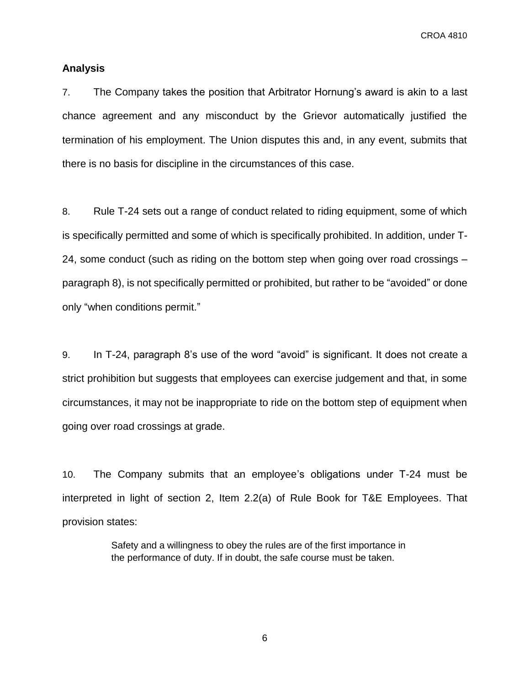CROA 4810

### **Analysis**

7. The Company takes the position that Arbitrator Hornung's award is akin to a last chance agreement and any misconduct by the Grievor automatically justified the termination of his employment. The Union disputes this and, in any event, submits that there is no basis for discipline in the circumstances of this case.

8. Rule T-24 sets out a range of conduct related to riding equipment, some of which is specifically permitted and some of which is specifically prohibited. In addition, under T-24, some conduct (such as riding on the bottom step when going over road crossings – paragraph 8), is not specifically permitted or prohibited, but rather to be "avoided" or done only "when conditions permit."

9. In T-24, paragraph 8's use of the word "avoid" is significant. It does not create a strict prohibition but suggests that employees can exercise judgement and that, in some circumstances, it may not be inappropriate to ride on the bottom step of equipment when going over road crossings at grade.

10. The Company submits that an employee's obligations under T-24 must be interpreted in light of section 2, Item 2.2(a) of Rule Book for T&E Employees. That provision states:

> Safety and a willingness to obey the rules are of the first importance in the performance of duty. If in doubt, the safe course must be taken.

> > 6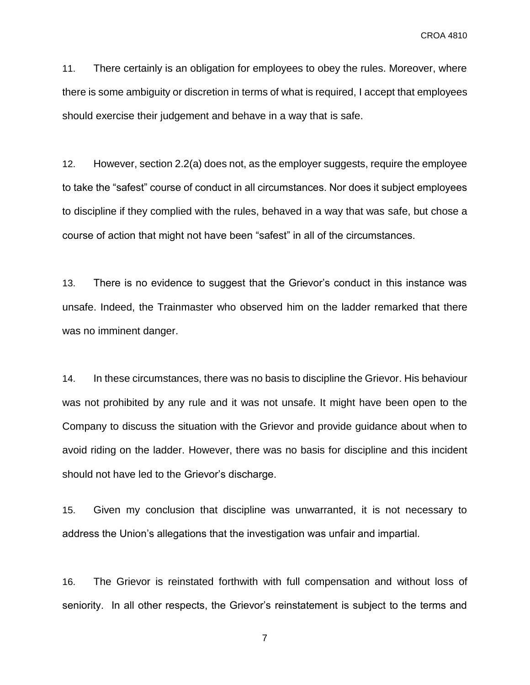11. There certainly is an obligation for employees to obey the rules. Moreover, where there is some ambiguity or discretion in terms of what is required, I accept that employees should exercise their judgement and behave in a way that is safe.

12. However, section 2.2(a) does not, as the employer suggests, require the employee to take the "safest" course of conduct in all circumstances. Nor does it subject employees to discipline if they complied with the rules, behaved in a way that was safe, but chose a course of action that might not have been "safest" in all of the circumstances.

13. There is no evidence to suggest that the Grievor's conduct in this instance was unsafe. Indeed, the Trainmaster who observed him on the ladder remarked that there was no imminent danger.

14. In these circumstances, there was no basis to discipline the Grievor. His behaviour was not prohibited by any rule and it was not unsafe. It might have been open to the Company to discuss the situation with the Grievor and provide guidance about when to avoid riding on the ladder. However, there was no basis for discipline and this incident should not have led to the Grievor's discharge.

15. Given my conclusion that discipline was unwarranted, it is not necessary to address the Union's allegations that the investigation was unfair and impartial*.* 

16. The Grievor is reinstated forthwith with full compensation and without loss of seniority. In all other respects, the Grievor's reinstatement is subject to the terms and

7